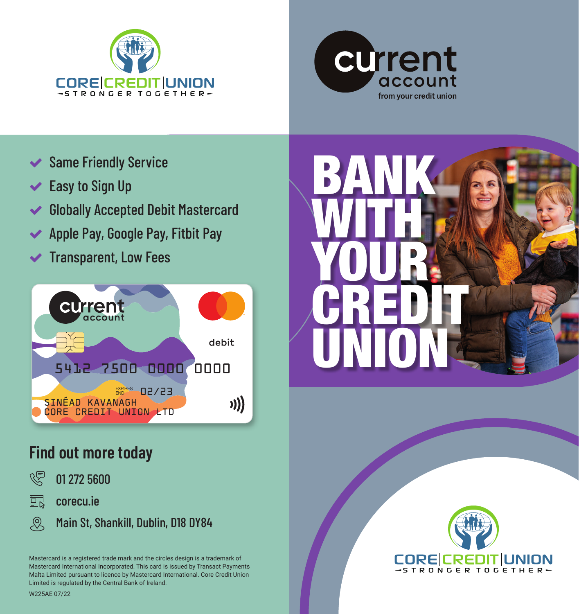



- **◆ Same Friendly Service**
- $\blacktriangleright$  Easy to Sign Up
- Globally Accepted Debit Mastercard
- ◆ Apple Pay, Google Pay, Fitbit Pay
- $\blacktriangleright$  Transparent, Low Fees



### **Find out more today**



巨 corecu.ie

 $\mathcal{Q}$ Main St, Shankill, Dublin, D18 DY84

Mastercard is a registered trade mark and the circles design is a trademark of Mastercard International Incorporated. This card is issued by Transact Payments Malta Limited pursuant to licence by Mastercard International. Core Credit Union Limited is regulated by the Central Bank of Ireland.

BANK WITH **N** YOUR **CREDIT** UNION